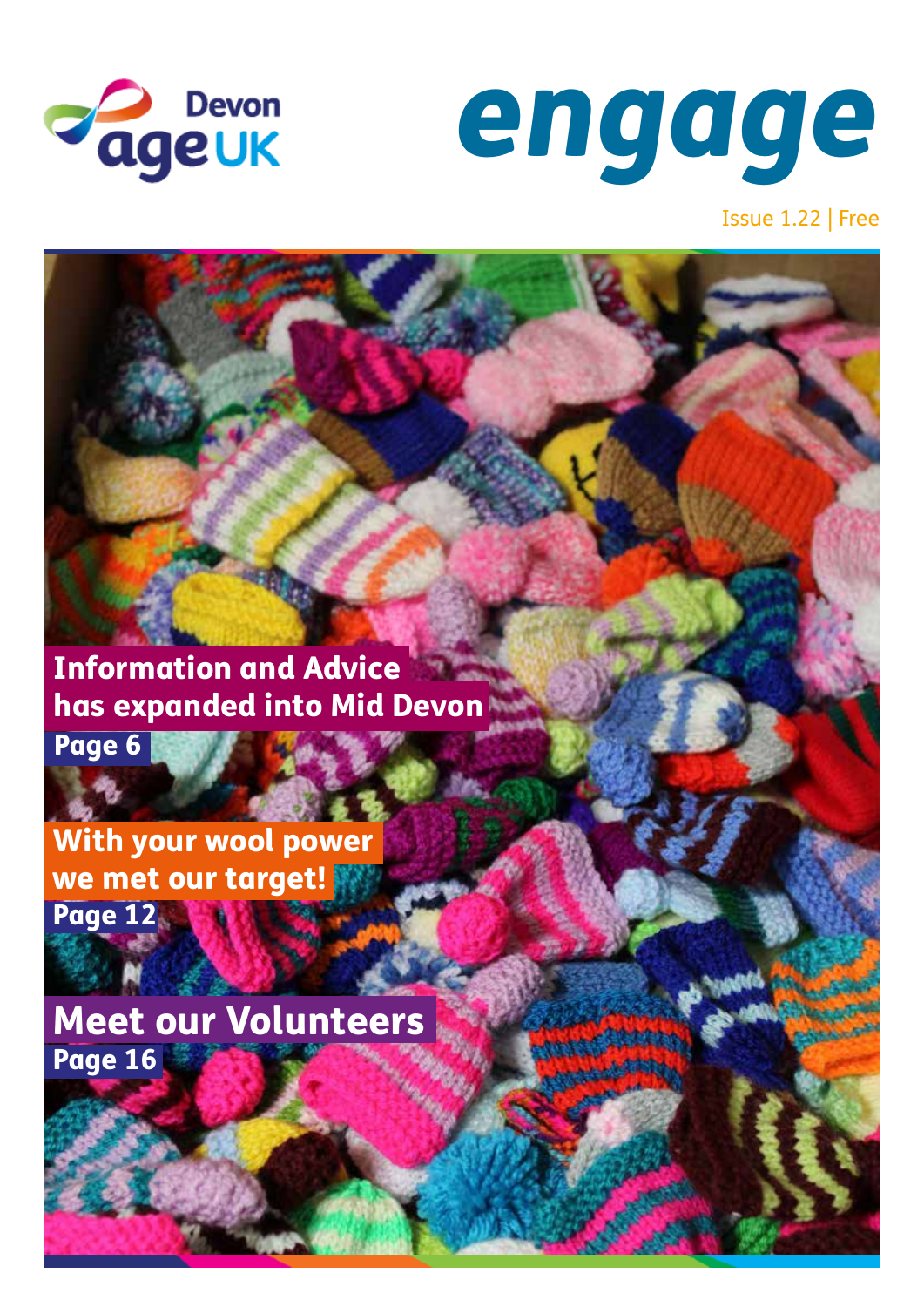



Issue 1.22 | Free

Information and Advice has expanded into Mid Devon

Page 6

With your wool power we met our target! Page 12

Meet our Volunteers Page 16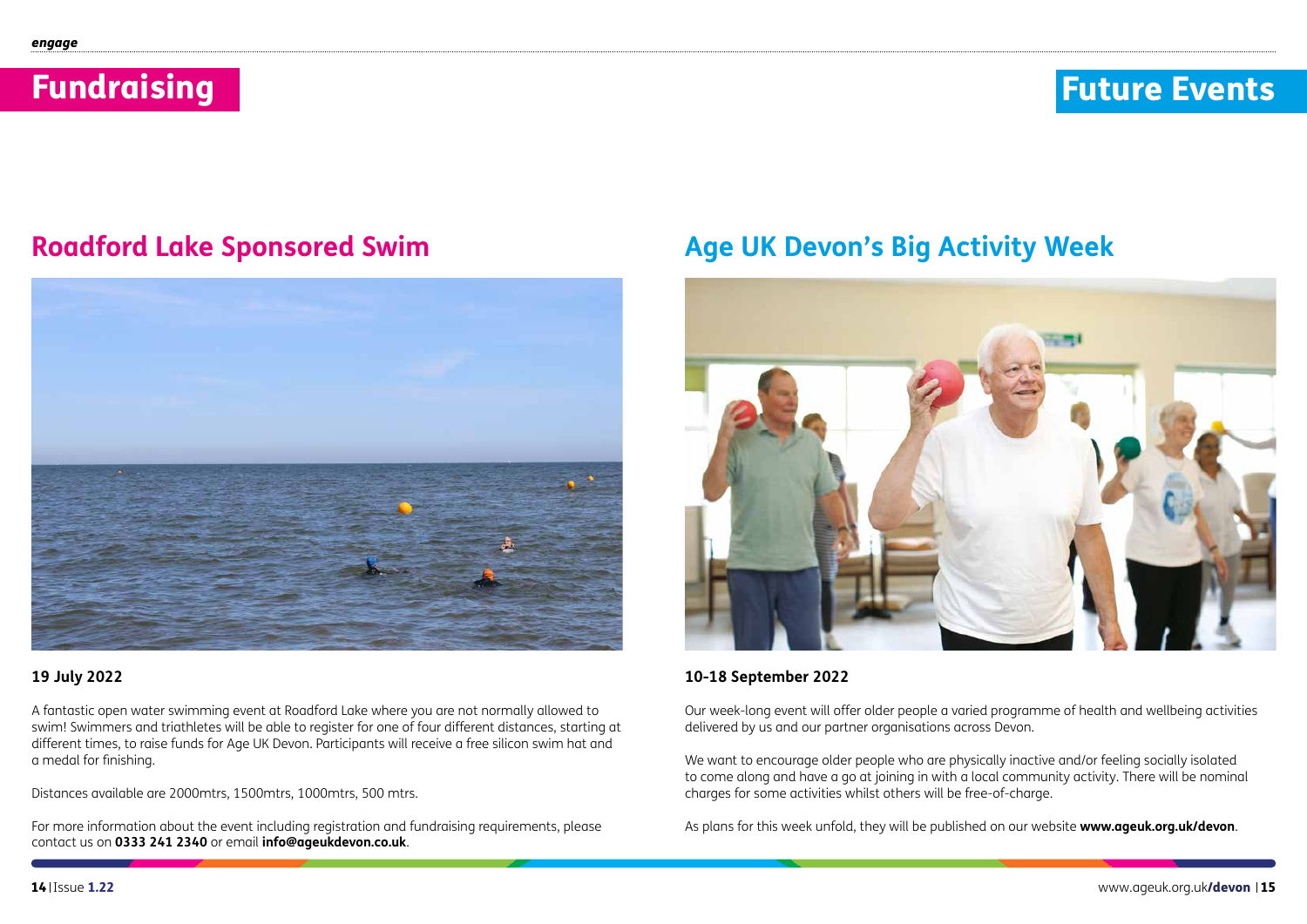# Fundraising

### **10 July 2022**

A fantastic open water swimming event at Roadford Lake where you are not normally allowed to swim! Swimmers and triathletes will be able to register for one of four different distances, starting at different times, to raise funds for Age UK Devon. Participants will receive a free silicon swim hat and a medal for finishing.

Distances available are 2000mtrs, 1500mtrs, 1000mtrs, 500 mtrs.

For more information about the event including registration and fundraising requirements, please contact us on **0333 241 2340** or email **info@ageukdevon.co.uk**.

**10-18 September 2022**

Our week-long event will offer older people a varied programme of health and wellbeing activities delivered by us and our partner organisations across Devon.

We want to encourage older people who are physically inactive and/or feeling socially isolated to come along and have a go at joining in with a local community activity. There will be nominal charges for some activities whilst others will be free-of-charge.

As plans for this week unfold, they will be published on our website **www.ageuk.org.uk/devon**.

### **Roadford Lake Sponsored Swim**





### **Age UK Devon's Big Activity Week**

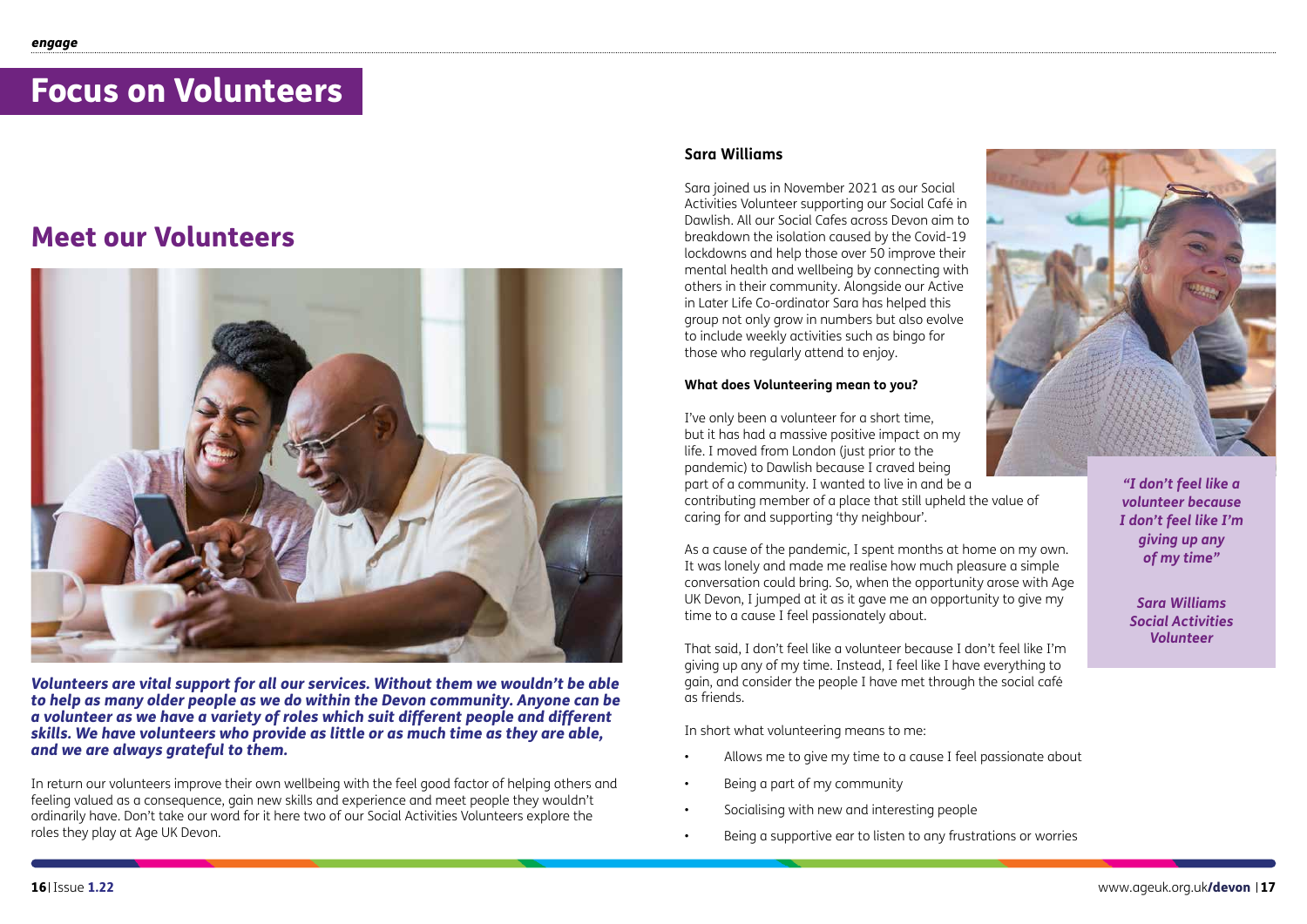## Focus on Volunteers

### Meet our Volunteers



*Volunteers are vital support for all our services. Without them we wouldn't be able to help as many older people as we do within the Devon community. Anyone can be a volunteer as we have a variety of roles which suit different people and different skills. We have volunteers who provide as little or as much time as they are able, and we are always grateful to them.*

In return our volunteers improve their own wellbeing with the feel good factor of helping others and feeling valued as a consequence, gain new skills and experience and meet people they wouldn't ordinarily have. Don't take our word for it here two of our Social Activities Volunteers explore the roles they play at Age UK Devon.

### **Sara Williams**

Sara joined us in November 2021 as our Social Activities Volunteer supporting our Social Café in Dawlish. All our Social Cafes across Devon aim to breakdown the isolation caused by the Covid-19 lockdowns and help those over 50 improve their mental health and wellbeing by connecting with others in their community. Alongside our Active in Later Life Co-ordinator Sara has helped this group not only grow in numbers but also evolve to include weekly activities such as bingo for those who regularly attend to enjoy.

#### **What does Volunteering mean to you?**

I've only been a volunteer for a short time, but it has had a massive positive impact on my life. I moved from London (just prior to the pandemic) to Dawlish because I craved being part of a community. I wanted to live in and be a contributing member of a place that still upheld the value of caring for and supporting 'thy neighbour'.

As a cause of the pandemic, I spent months at home on my own. It was lonely and made me realise how much pleasure a simple conversation could bring. So, when the opportunity arose with Age UK Devon, I jumped at it as it gave me an opportunity to give my time to a cause I feel passionately about.

That said, I don't feel like a volunteer because I don't feel like I'm giving up any of my time. Instead, I feel like I have everything to gain, and consider the people I have met through the social café as friends.

In short what volunteering means to me:

- Allows me to give my time to a cause I feel passionate about
- Being a part of my community
- Socialising with new and interesting people
- Being a supportive ear to listen to any frustrations or worries



*"I don't feel like a volunteer because I don't feel like I'm giving up any of my time"*

*Sara Williams Social Activities Volunteer*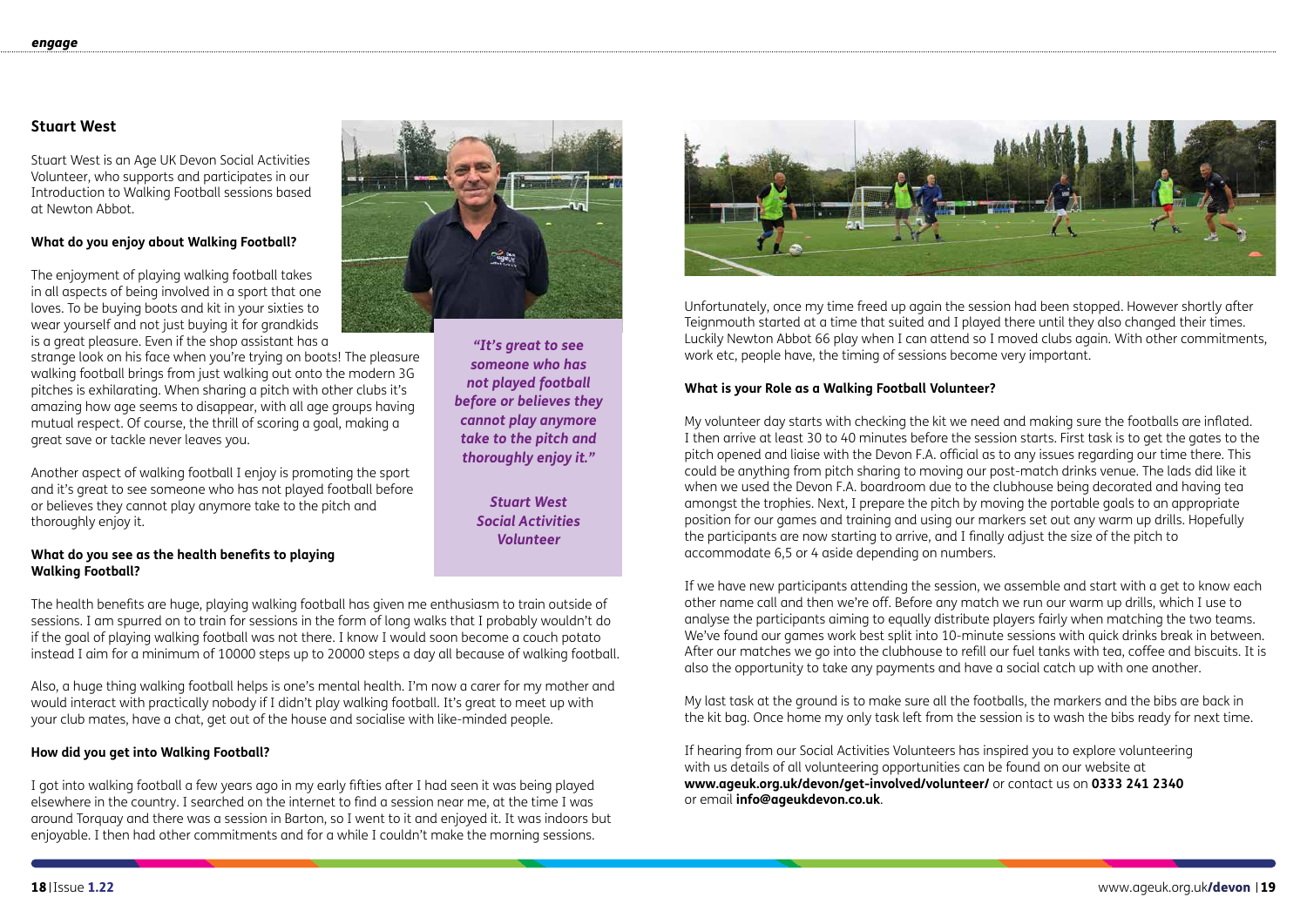Unfortunately, once my time freed up again the session had been stopped. However shortly after Teignmouth started at a time that suited and I played there until they also changed their times. Luckily Newton Abbot 66 play when I can attend so I moved clubs again. With other commitments, work etc, people have, the timing of sessions become very important.

### **What is your Role as a Walking Football Volunteer?**

My volunteer day starts with checking the kit we need and making sure the footballs are inflated. I then arrive at least 30 to 40 minutes before the session starts. First task is to get the gates to the pitch opened and liaise with the Devon F.A. official as to any issues regarding our time there. This could be anything from pitch sharing to moving our post-match drinks venue. The lads did like it when we used the Devon F.A. boardroom due to the clubhouse being decorated and having tea amongst the trophies. Next, I prepare the pitch by moving the portable goals to an appropriate position for our games and training and using our markers set out any warm up drills. Hopefully the participants are now starting to arrive, and I finally adjust the size of the pitch to accommodate 6,5 or 4 aside depending on numbers.

If we have new participants attending the session, we assemble and start with a get to know each other name call and then we're off. Before any match we run our warm up drills, which I use to analyse the participants aiming to equally distribute players fairly when matching the two teams. We've found our games work best split into 10-minute sessions with quick drinks break in between. After our matches we go into the clubhouse to refill our fuel tanks with tea, coffee and biscuits. It is also the opportunity to take any payments and have a social catch up with one another.

My last task at the ground is to make sure all the footballs, the markers and the bibs are back in the kit bag. Once home my only task left from the session is to wash the bibs ready for next time.

If hearing from our Social Activities Volunteers has inspired you to explore volunteering with us details of all volunteering opportunities can be found on our website at **www.ageuk.org.uk/devon/get-involved/volunteer/** or contact us on **0333 241 2340** or email **info@ageukdevon.co.uk**.

### **Stuart West**

Stuart West is an Age UK Devon Social Activities Volunteer, who supports and participates in our Introduction to Walking Football sessions based at Newton Abbot.

#### **What do you enjoy about Walking Football?**

The enjoyment of playing walking football takes in all aspects of being involved in a sport that one loves. To be buying boots and kit in your sixties to wear yourself and not just buying it for grandkids is a great pleasure. Even if the shop assistant has a

strange look on his face when you're trying on boots! The pleasure walking football brings from just walking out onto the modern 3G pitches is exhilarating. When sharing a pitch with other clubs it's amazing how age seems to disappear, with all age groups having mutual respect. Of course, the thrill of scoring a goal, making a great save or tackle never leaves you.

Another aspect of walking football I enjoy is promoting the sport and it's great to see someone who has not played football before or believes they cannot play anymore take to the pitch and thoroughly enjoy it.

#### **What do you see as the health benefits to playing Walking Football?**

The health benefits are huge, playing walking football has given me enthusiasm to train outside of sessions. I am spurred on to train for sessions in the form of long walks that I probably wouldn't do if the goal of playing walking football was not there. I know I would soon become a couch potato instead I aim for a minimum of 10000 steps up to 20000 steps a day all because of walking football.

Also, a huge thing walking football helps is one's mental health. I'm now a carer for my mother and would interact with practically nobody if I didn't play walking football. It's great to meet up with your club mates, have a chat, get out of the house and socialise with like-minded people.

### **How did you get into Walking Football?**

I got into walking football a few years ago in my early fifties after I had seen it was being played elsewhere in the country. I searched on the internet to find a session near me, at the time I was around Torquay and there was a session in Barton, so I went to it and enjoyed it. It was indoors but enjoyable. I then had other commitments and for a while I couldn't make the morning sessions.



*"It's great to see someone who has not played football before or believes they cannot play anymore take to the pitch and thoroughly enjoy it."*

> *Stuart West Social Activities Volunteer*

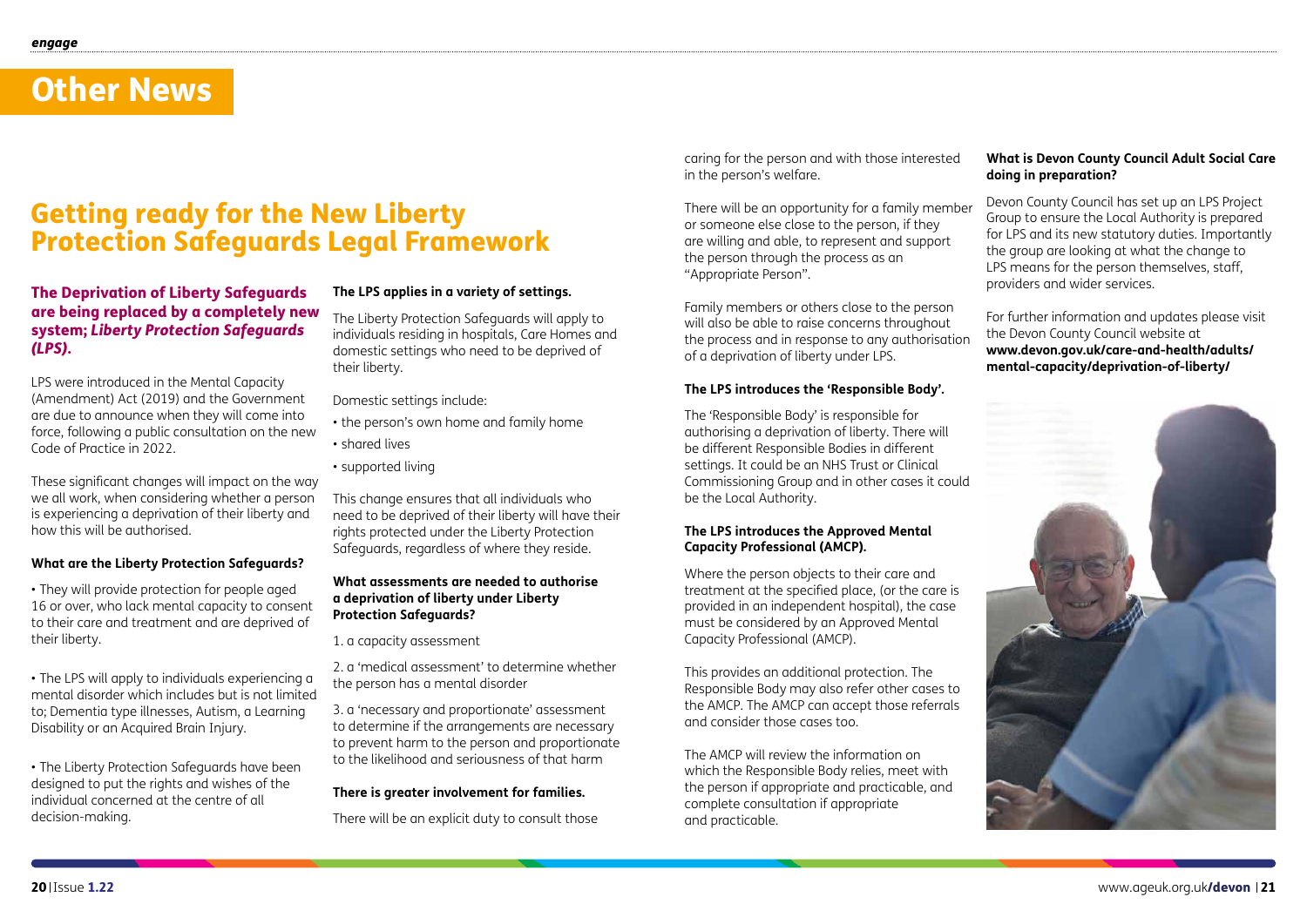### Other News

### The Deprivation of Liberty Safeguards are being replaced by a completely new system; *Liberty Protection Safeguards (LPS)*.

LPS were introduced in the Mental Capacity (Amendment) Act (2019) and the Government are due to announce when they will come into force, following a public consultation on the new Code of Practice in 2022.

These significant changes will impact on the way we all work, when considering whether a person is experiencing a deprivation of their liberty and how this will be authorised.

### **What are the Liberty Protection Safeguards?**

• They will provide protection for people aged 16 or over, who lack mental capacity to consent to their care and treatment and are deprived of their liberty.

• The LPS will apply to individuals experiencing a mental disorder which includes but is not limited to; Dementia type illnesses, Autism, a Learning Disability or an Acquired Brain Injury.

• The Liberty Protection Safeguards have been designed to put the rights and wishes of the individual concerned at the centre of all decision-making.

### **The LPS applies in a variety of settings.**

The Liberty Protection Safeguards will apply to individuals residing in hospitals, Care Homes and domestic settings who need to be deprived of their liberty.

Domestic settings include:

- the person's own home and family home
- shared lives
- supported living

This change ensures that all individuals who need to be deprived of their liberty will have their rights protected under the Liberty Protection Safeguards, regardless of where they reside.

#### **What assessments are needed to authorise a deprivation of liberty under Liberty Protection Safeguards?**

1. a capacity assessment

2. a 'medical assessment' to determine whether the person has a mental disorder

3. a 'necessary and proportionate' assessment to determine if the arrangements are necessary to prevent harm to the person and proportionate to the likelihood and seriousness of that harm

#### **There is greater involvement for families.**

There will be an explicit duty to consult those

### Getting ready for the New Liberty Protection Safeguards Legal Framework

caring for the person and with those interested in the person's welfare.

Family members or others close to the person will also be able to raise concerns throughout the process and in response to any authorisation of a deprivation of liberty under LPS.

### **The LPS introduces the 'Responsible Body'.**

The 'Responsible Body' is responsible for authorising a deprivation of liberty. There will be different Responsible Bodies in different settings. It could be an NHS Trust or Clinical Commissioning Group and in other cases it could be the Local Authority.

### **The LPS introduces the Approved Mental Capacity Professional (AMCP).**

There will be an opportunity for a family member or someone else close to the person, if they are willing and able, to represent and support the person through the process as an "Appropriate Person". Devon County Council has set up an LPS Project Group to ensure the Local Authority is prepared for LPS and its new statutory duties. Importantly the group are looking at what the change to LPS means for the person themselves, staff, providers and wider services.

Where the person objects to their care and treatment at the specified place, (or the care is provided in an independent hospital), the case must be considered by an Approved Mental Capacity Professional (AMCP).

This provides an additional protection. The Responsible Body may also refer other cases to the AMCP. The AMCP can accept those referrals and consider those cases too.

The AMCP will review the information on which the Responsible Body relies, meet with the person if appropriate and practicable, and complete consultation if appropriate and practicable.

### **What is Devon County Council Adult Social Care doing in preparation?**

For further information and updates please visit the Devon County Council website at **www.devon.gov.uk/care-and-health/adults/ mental-capacity/deprivation-of-liberty/**

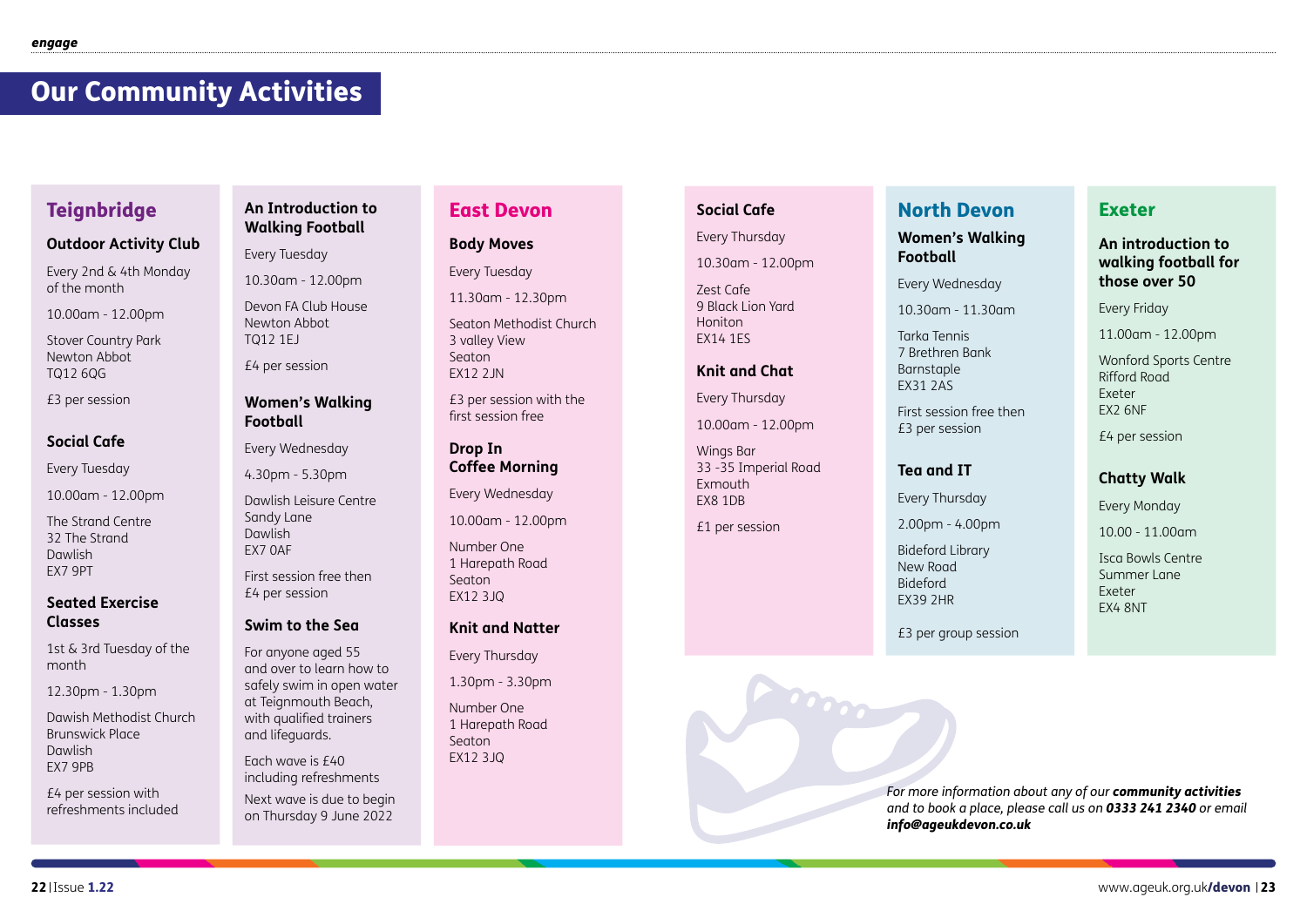### East Devon

### **Body Moves**

Every Tuesday

11.30am - 12.30pm

Seaton Methodist Church 3 valley View Seaton EX12 2JN

£3 per session with the first session free

### **Drop In Coffee Morning**

Every Wednesday

10.00am - 12.00pm

Number One 1 Harepath Road Seaton EX12 3JQ

### **Knit and Natter**

Every Thursday

1.30pm - 3.30pm

Number One 1 Harepath Road Seaton EX12 3JQ

### **Outdoor Activity Club**

Every 2nd & 4th Monday of the month

10.00am - 12.00pm

Stover Country Park Newton Abbot TQ12 6QG

£3 per session

### **Social Cafe**

Every Tuesday

10.00am - 12.00pm

The Strand Centre 32 The Strand Dawlish EX7 9PT

### **Seated Exercise Classes**

1st & 3rd Tuesday of the month

12.30pm - 1.30pm

Dawish Methodist Church Brunswick Place Dawlish EX7 9PB

£4 per session with refreshments included

### **An Introduction to Walking Football**

Every Tuesday

10.30am - 12.00pm

Devon FA Club House Newton Abbot TQ12 1EJ

£4 per session

### **Women's Walking Football**

Every Wednesday

4.30pm - 5.30pm

Dawlish Leisure Centre Sandy Lane Dawlish EX7 0AF

First session free then £4 per session

### **Swim to the Sea**

For anyone aged 55 and over to learn how to safely swim in open water at Teignmouth Beach, with qualified trainers and lifeguards.

Each wave is £40 including refreshments

Next wave is due to begin on Thursday 9 June 2022

### **Social Cafe**

### Every Thursday

10.30am - 12.00pm

Zest Cafe 9 Black Lion Yard Honiton EX14 1ES

### **Knit and Chat**

Every Thursday

10.00am - 12.00pm

Wings Bar 33 -35 Imperial Road Exmouth EX8 1DB

**COOPER** 

£1 per session

### Exeter

### **An introduction to walking football for those over 50**

Every Friday

11.00am - 12.00pm

Wonford Sports Centre Rifford Road Exeter EX2 6NF

£4 per session

### **Chatty Walk**

Every Monday

10.00 - 11.00am

Isca Bowls Centre Summer Lane Exeter EX4 8NT

### North Devon

### **Women's Walking Football**

Every Wednesday

10.30am - 11.30am

Tarka Tennis 7 Brethren Bank Barnstaple EX31 2AS

First session free then £3 per session

### **Tea and IT**

Every Thursday

2.00pm - 4.00pm

Bideford Library New Road Bideford EX39 2HR

£3 per group session

### Our Community Activities

### **Teignbridge**

*For more information about any of our community activities and to book a place, please call us on 0333 241 2340 or email info@ageukdevon.co.uk*